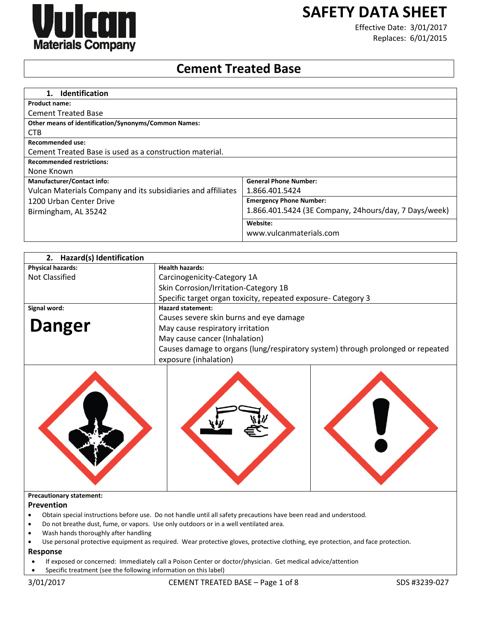

# **SAFETY DATA SHEET**

Effective Date: 3/01/2017 Replaces: 6/01/2015

# **Cement Treated Base**

| <b>Identification</b><br>$1_{\cdot}$                         |                                                       |
|--------------------------------------------------------------|-------------------------------------------------------|
| <b>Product name:</b>                                         |                                                       |
| <b>Cement Treated Base</b>                                   |                                                       |
| <b>Other means of identification/Synonyms/Common Names:</b>  |                                                       |
| CTB                                                          |                                                       |
| Recommended use:                                             |                                                       |
| Cement Treated Base is used as a construction material.      |                                                       |
| <b>Recommended restrictions:</b>                             |                                                       |
| None Known                                                   |                                                       |
| <b>Manufacturer/Contact info:</b>                            | <b>General Phone Number:</b>                          |
| Vulcan Materials Company and its subsidiaries and affiliates | 1.866.401.5424                                        |
| 1200 Urban Center Drive                                      | <b>Emergency Phone Number:</b>                        |
| Birmingham, AL 35242                                         | 1.866.401.5424 (3E Company, 24hours/day, 7 Days/week) |
|                                                              | Website:                                              |
|                                                              | www.vulcanmaterials.com                               |

| Hazard(s) Identification<br>2. |                                                                                                          |
|--------------------------------|----------------------------------------------------------------------------------------------------------|
| <b>Physical hazards:</b>       | <b>Health hazards:</b>                                                                                   |
| Not Classified                 | Carcinogenicity-Category 1A                                                                              |
|                                | Skin Corrosion/Irritation-Category 1B                                                                    |
|                                | Specific target organ toxicity, repeated exposure- Category 3                                            |
| Signal word:                   | <b>Hazard statement:</b>                                                                                 |
|                                | Causes severe skin burns and eye damage                                                                  |
| <b>Danger</b>                  | May cause respiratory irritation                                                                         |
|                                | May cause cancer (Inhalation)                                                                            |
|                                | Causes damage to organs (lung/respiratory system) through prolonged or repeated<br>exposure (inhalation) |



#### **Precautionary statement:**

#### **Prevention**

- Obtain special instructions before use. Do not handle until all safety precautions have been read and understood.
- Do not breathe dust, fume, or vapors. Use only outdoors or in a well ventilated area.
- Wash hands thoroughly after handling
- Use personal protective equipment as required. Wear protective gloves, protective clothing, eye protection, and face protection.

# **Response**

- If exposed or concerned: Immediately call a Poison Center or doctor/physician. Get medical advice/attention
- Specific treatment (see the following information on this label)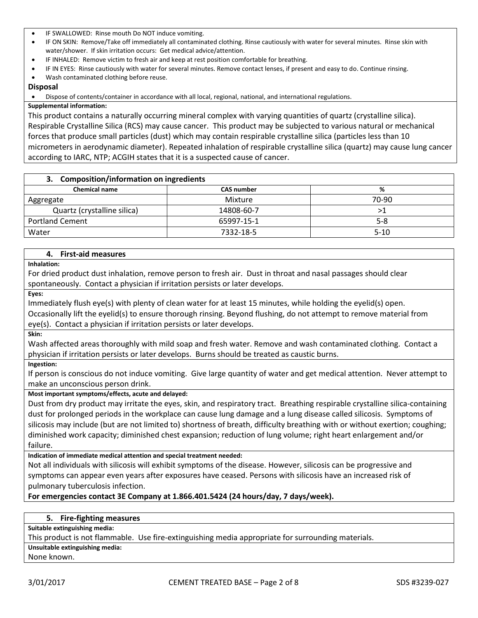- IF SWALLOWED: Rinse mouth Do NOT induce vomiting.
- IF ON SKIN: Remove/Take off immediately all contaminated clothing. Rinse cautiously with water for several minutes. Rinse skin with water/shower. If skin irritation occurs: Get medical advice/attention.
- IF INHALED: Remove victim to fresh air and keep at rest position comfortable for breathing.
- IF IN EYES: Rinse cautiously with water for several minutes. Remove contact lenses, if present and easy to do. Continue rinsing.
- Wash contaminated clothing before reuse.

#### **Disposal**

Dispose of contents/container in accordance with all local, regional, national, and international regulations.

#### **Supplemental information:**

This product contains a naturally occurring mineral complex with varying quantities of quartz (crystalline silica). Respirable Crystalline Silica (RCS) may cause cancer. This product may be subjected to various natural or mechanical forces that produce small particles (dust) which may contain respirable crystalline silica (particles less than 10 micrometers in aerodynamic diameter). Repeated inhalation of respirable crystalline silica (quartz) may cause lung cancer according to IARC, NTP; ACGIH states that it is a suspected cause of cancer.

# **3. Composition/information on ingredients**

| <b>Chemical name</b>        | <b>CAS number</b> | %        |
|-----------------------------|-------------------|----------|
| Aggregate                   | Mixture           | 70-90    |
| Quartz (crystalline silica) | 14808-60-7        | ⋗Ί       |
| <b>Portland Cement</b>      | 65997-15-1        | $5 - 8$  |
| Water                       | 7332-18-5         | $5 - 10$ |

#### **4. First-aid measures**

**Inhalation:**

For dried product dust inhalation, remove person to fresh air. Dust in throat and nasal passages should clear spontaneously. Contact a physician if irritation persists or later develops.

**Eyes:**

Immediately flush eye(s) with plenty of clean water for at least 15 minutes, while holding the eyelid(s) open. Occasionally lift the eyelid(s) to ensure thorough rinsing. Beyond flushing, do not attempt to remove material from eye(s). Contact a physician if irritation persists or later develops.

**Skin:**

Wash affected areas thoroughly with mild soap and fresh water. Remove and wash contaminated clothing. Contact a physician if irritation persists or later develops. Burns should be treated as caustic burns.

**Ingestion:**

If person is conscious do not induce vomiting. Give large quantity of water and get medical attention. Never attempt to make an unconscious person drink.

#### **Most important symptoms/effects, acute and delayed:**

Dust from dry product may irritate the eyes, skin, and respiratory tract. Breathing respirable crystalline silica-containing dust for prolonged periods in the workplace can cause lung damage and a lung disease called silicosis. Symptoms of silicosis may include (but are not limited to) shortness of breath, difficulty breathing with or without exertion; coughing; diminished work capacity; diminished chest expansion; reduction of lung volume; right heart enlargement and/or failure.

**Indication of immediate medical attention and special treatment needed:**

Not all individuals with silicosis will exhibit symptoms of the disease. However, silicosis can be progressive and symptoms can appear even years after exposures have ceased. Persons with silicosis have an increased risk of pulmonary tuberculosis infection.

**For emergencies contact 3E Company at 1.866.401.5424 (24 hours/day, 7 days/week).**

#### **5. Fire-fighting measures**

**Suitable extinguishing media:**

This product is not flammable. Use fire-extinguishing media appropriate for surrounding materials.

**Unsuitable extinguishing media:**

None known.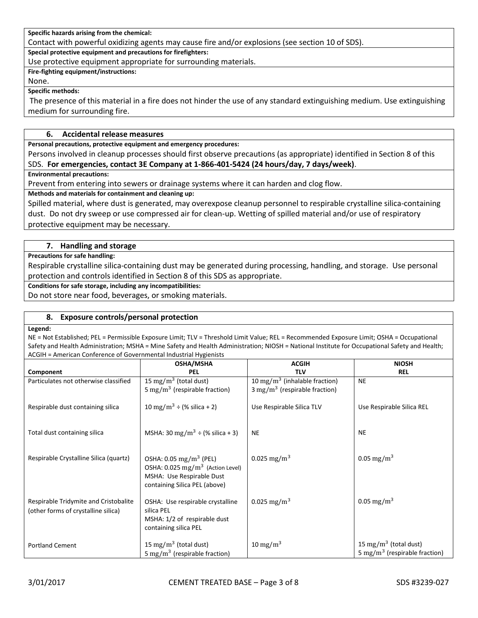**Specific hazards arising from the chemical:**

Contact with powerful oxidizing agents may cause fire and/or explosions (see section 10 of SDS).

**Special protective equipment and precautions for firefighters:**

Use protective equipment appropriate for surrounding materials.

**Fire-fighting equipment/instructions:**

None.

**Specific methods:**

The presence of this material in a fire does not hinder the use of any standard extinguishing medium. Use extinguishing medium for surrounding fire.

### **6. Accidental release measures**

**Personal precautions, protective equipment and emergency procedures:**

Persons involved in cleanup processes should first observe precautions (as appropriate) identified in Section 8 of this SDS. **For emergencies, contact 3E Company at 1-866-401-5424 (24 hours/day, 7 days/week)**.

**Environmental precautions:**

Prevent from entering into sewers or drainage systems where it can harden and clog flow.

**Methods and materials for containment and cleaning up:**

Spilled material, where dust is generated, may overexpose cleanup personnel to respirable crystalline silica-containing dust. Do not dry sweep or use compressed air for clean-up. Wetting of spilled material and/or use of respiratory protective equipment may be necessary.

# **7. Handling and storage**

**Precautions for safe handling:**

Respirable crystalline silica-containing dust may be generated during processing, handling, and storage. Use personal protection and controls identified in Section 8 of this SDS as appropriate.

**Conditions for safe storage, including any incompatibilities:**

Do not store near food, beverages, or smoking materials.

#### **8. Exposure controls/personal protection**

#### **Legend:**

NE = Not Established; PEL = Permissible Exposure Limit; TLV = Threshold Limit Value; REL = Recommended Exposure Limit; OSHA = Occupational Safety and Health Administration; MSHA = Mine Safety and Health Administration; NIOSH = National Institute for Occupational Safety and Health; ACGIH = American Conference of Governmental Industrial Hygienists

|                                        | <b>OSHA/MSHA</b>                                 | <b>ACGIH</b>                              | <b>NIOSH</b>                              |
|----------------------------------------|--------------------------------------------------|-------------------------------------------|-------------------------------------------|
|                                        |                                                  |                                           |                                           |
| Component                              | PEL                                              | <b>TLV</b>                                | <b>REL</b>                                |
| Particulates not otherwise classified  | 15 mg/m <sup>3</sup> (total dust)                | 10 mg/m <sup>3</sup> (inhalable fraction) | <b>NE</b>                                 |
|                                        | 5 mg/m <sup>3</sup> (respirable fraction)        | $3 \text{ mg/m}^3$ (respirable fraction)  |                                           |
|                                        |                                                  |                                           |                                           |
| Respirable dust containing silica      | 10 mg/m <sup>3</sup> ÷ (% silica + 2)            | Use Respirable Silica TLV                 | Use Respirable Silica REL                 |
|                                        |                                                  |                                           |                                           |
|                                        |                                                  |                                           |                                           |
| Total dust containing silica           | MSHA: 30 mg/m <sup>3</sup> $\div$ (% silica + 3) | <b>NE</b>                                 | <b>NE</b>                                 |
|                                        |                                                  |                                           |                                           |
|                                        |                                                  |                                           |                                           |
|                                        |                                                  |                                           |                                           |
| Respirable Crystalline Silica (quartz) | OSHA: $0.05 \text{ mg/m}^3$ (PEL)                | 0.025 mg/m <sup>3</sup>                   | 0.05 mg/m <sup>3</sup>                    |
|                                        | OSHA: 0.025 mg/m <sup>3</sup> (Action Level)     |                                           |                                           |
|                                        | MSHA: Use Respirable Dust                        |                                           |                                           |
|                                        | containing Silica PEL (above)                    |                                           |                                           |
|                                        |                                                  |                                           |                                           |
| Respirable Tridymite and Cristobalite  | OSHA: Use respirable crystalline                 | 0.025 mg/m <sup>3</sup>                   | 0.05 mg/m <sup>3</sup>                    |
| (other forms of crystalline silica)    | silica PEL                                       |                                           |                                           |
|                                        | MSHA: 1/2 of respirable dust                     |                                           |                                           |
|                                        | containing silica PEL                            |                                           |                                           |
|                                        |                                                  |                                           |                                           |
| <b>Portland Cement</b>                 | 15 mg/m <sup>3</sup> (total dust)                | $10 \text{ mg/m}^3$                       | 15 mg/m <sup>3</sup> (total dust)         |
|                                        | 5 mg/m <sup>3</sup> (respirable fraction)        |                                           | 5 mg/m <sup>3</sup> (respirable fraction) |
|                                        |                                                  |                                           |                                           |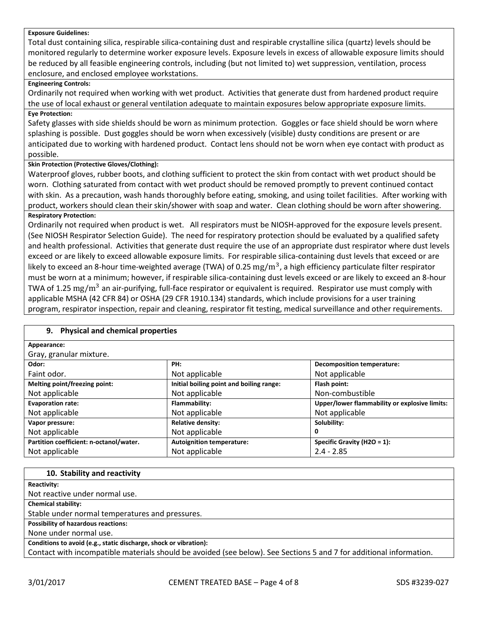#### **Exposure Guidelines:**

Total dust containing silica, respirable silica-containing dust and respirable crystalline silica (quartz) levels should be monitored regularly to determine worker exposure levels. Exposure levels in excess of allowable exposure limits should be reduced by all feasible engineering controls, including (but not limited to) wet suppression, ventilation, process enclosure, and enclosed employee workstations.

### **Engineering Controls:**

Ordinarily not required when working with wet product. Activities that generate dust from hardened product require the use of local exhaust or general ventilation adequate to maintain exposures below appropriate exposure limits.

# **Eye Protection:**

Safety glasses with side shields should be worn as minimum protection. Goggles or face shield should be worn where splashing is possible. Dust goggles should be worn when excessively (visible) dusty conditions are present or are anticipated due to working with hardened product. Contact lens should not be worn when eye contact with product as possible.

# **Skin Protection (Protective Gloves/Clothing):**

Waterproof gloves, rubber boots, and clothing sufficient to protect the skin from contact with wet product should be worn. Clothing saturated from contact with wet product should be removed promptly to prevent continued contact with skin. As a precaution, wash hands thoroughly before eating, smoking, and using toilet facilities. After working with product, workers should clean their skin/shower with soap and water. Clean clothing should be worn after showering. **Respiratory Protection:**

Ordinarily not required when product is wet. All respirators must be NIOSH-approved for the exposure levels present. (See NIOSH Respirator Selection Guide). The need for respiratory protection should be evaluated by a qualified safety and health professional. Activities that generate dust require the use of an appropriate dust respirator where dust levels exceed or are likely to exceed allowable exposure limits. For respirable silica-containing dust levels that exceed or are likely to exceed an 8-hour time-weighted average (TWA) of 0.25  $\rm mg/m^3$ , a high efficiency particulate filter respirator must be worn at a minimum; however, if respirable silica-containing dust levels exceed or are likely to exceed an 8-hour TWA of 1.25  $\rm mg/m^3$  an air-purifying, full-face respirator or equivalent is required. Respirator use must comply with applicable MSHA (42 CFR 84) or OSHA (29 CFR 1910.134) standards, which include provisions for a user training program, respirator inspection, repair and cleaning, respirator fit testing, medical surveillance and other requirements.

| 9. Physical and chemical properties     |                                          |                                               |  |
|-----------------------------------------|------------------------------------------|-----------------------------------------------|--|
| Appearance:                             |                                          |                                               |  |
| Gray, granular mixture.                 |                                          |                                               |  |
| Odor:                                   | PH:                                      | <b>Decomposition temperature:</b>             |  |
| Faint odor.                             | Not applicable                           | Not applicable                                |  |
| Melting point/freezing point:           | Initial boiling point and boiling range: | Flash point:                                  |  |
| Not applicable                          | Not applicable                           | Non-combustible                               |  |
| <b>Evaporation rate:</b>                | Flammability:                            | Upper/lower flammability or explosive limits: |  |
| Not applicable                          | Not applicable                           | Not applicable                                |  |
| Vapor pressure:                         | <b>Relative density:</b>                 | Solubility:                                   |  |
| Not applicable                          | Not applicable                           | 0                                             |  |
| Partition coefficient: n-octanol/water. | <b>Autoignition temperature:</b>         | Specific Gravity (H2O = 1):                   |  |
| Not applicable                          | Not applicable                           | $2.4 - 2.85$                                  |  |
|                                         |                                          |                                               |  |

| 10. Stability and reactivity                                                                                        |
|---------------------------------------------------------------------------------------------------------------------|
| Reactivity:                                                                                                         |
| Not reactive under normal use.                                                                                      |
| <b>Chemical stability:</b>                                                                                          |
| Stable under normal temperatures and pressures.                                                                     |
| <b>Possibility of hazardous reactions:</b>                                                                          |
| None under normal use.                                                                                              |
| Conditions to avoid (e.g., static discharge, shock or vibration):                                                   |
| Contact with incompatible materials should be avoided (see below). See Sections 5 and 7 for additional information. |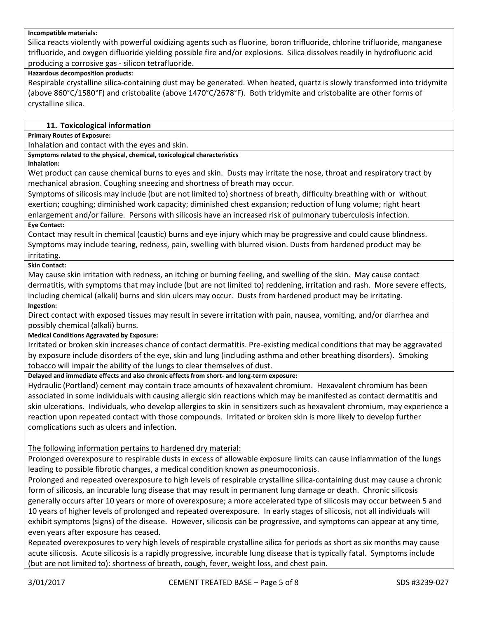#### **Incompatible materials:**

Silica reacts violently with powerful oxidizing agents such as fluorine, boron trifluoride, chlorine trifluoride, manganese trifluoride, and oxygen difluoride yielding possible fire and/or explosions. Silica dissolves readily in hydrofluoric acid producing a corrosive gas - silicon tetrafluoride.

#### **Hazardous decomposition products:**

Respirable crystalline silica-containing dust may be generated. When heated, quartz is slowly transformed into tridymite (above 860°C/1580°F) and cristobalite (above 1470°C/2678°F). Both tridymite and cristobalite are other forms of crystalline silica.

#### **11. Toxicological information**

**Primary Routes of Exposure:**

Inhalation and contact with the eyes and skin.

# **Symptoms related to the physical, chemical, toxicological characteristics**

**Inhalation:**

Wet product can cause chemical burns to eyes and skin. Dusts may irritate the nose, throat and respiratory tract by mechanical abrasion. Coughing sneezing and shortness of breath may occur.

Symptoms of silicosis may include (but are not limited to) shortness of breath, difficulty breathing with or without exertion; coughing; diminished work capacity; diminished chest expansion; reduction of lung volume; right heart enlargement and/or failure. Persons with silicosis have an increased risk of pulmonary tuberculosis infection.

#### **Eye Contact:**

Contact may result in chemical (caustic) burns and eye injury which may be progressive and could cause blindness. Symptoms may include tearing, redness, pain, swelling with blurred vision. Dusts from hardened product may be irritating.

#### **Skin Contact:**

May cause skin irritation with redness, an itching or burning feeling, and swelling of the skin. May cause contact dermatitis, with symptoms that may include (but are not limited to) reddening, irritation and rash. More severe effects, including chemical (alkali) burns and skin ulcers may occur. Dusts from hardened product may be irritating.

#### **Ingestion:**

Direct contact with exposed tissues may result in severe irritation with pain, nausea, vomiting, and/or diarrhea and possibly chemical (alkali) burns.

#### **Medical Conditions Aggravated by Exposure:**

Irritated or broken skin increases chance of contact dermatitis. Pre-existing medical conditions that may be aggravated by exposure include disorders of the eye, skin and lung (including asthma and other breathing disorders). Smoking tobacco will impair the ability of the lungs to clear themselves of dust.

**Delayed and immediate effects and also chronic effects from short- and long-term exposure:**

Hydraulic (Portland) cement may contain trace amounts of hexavalent chromium. Hexavalent chromium has been associated in some individuals with causing allergic skin reactions which may be manifested as contact dermatitis and skin ulcerations. Individuals, who develop allergies to skin in sensitizers such as hexavalent chromium, may experience a reaction upon repeated contact with those compounds. Irritated or broken skin is more likely to develop further complications such as ulcers and infection.

#### The following information pertains to hardened dry material:

Prolonged overexposure to respirable dusts in excess of allowable exposure limits can cause inflammation of the lungs leading to possible fibrotic changes, a medical condition known as pneumoconiosis.

Prolonged and repeated overexposure to high levels of respirable crystalline silica-containing dust may cause a chronic form of silicosis, an incurable lung disease that may result in permanent lung damage or death. Chronic silicosis generally occurs after 10 years or more of overexposure; a more accelerated type of silicosis may occur between 5 and 10 years of higher levels of prolonged and repeated overexposure. In early stages of silicosis, not all individuals will exhibit symptoms (signs) of the disease. However, silicosis can be progressive, and symptoms can appear at any time, even years after exposure has ceased.

Repeated overexposures to very high levels of respirable crystalline silica for periods as short as six months may cause acute silicosis. Acute silicosis is a rapidly progressive, incurable lung disease that is typically fatal. Symptoms include (but are not limited to): shortness of breath, cough, fever, weight loss, and chest pain.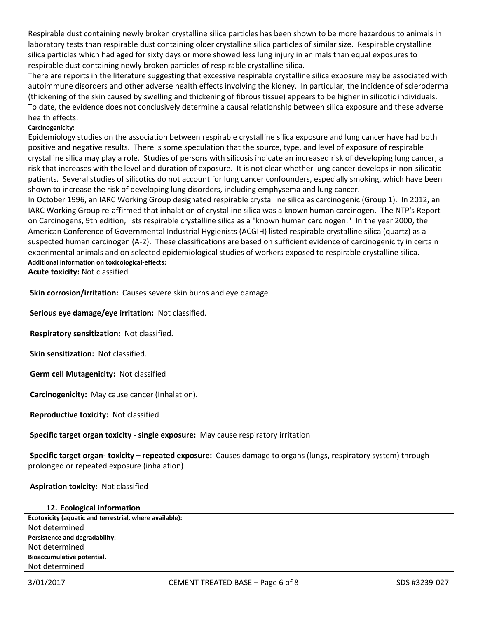Respirable dust containing newly broken crystalline silica particles has been shown to be more hazardous to animals in laboratory tests than respirable dust containing older crystalline silica particles of similar size. Respirable crystalline silica particles which had aged for sixty days or more showed less lung injury in animals than equal exposures to respirable dust containing newly broken particles of respirable crystalline silica.

There are reports in the literature suggesting that excessive respirable crystalline silica exposure may be associated with autoimmune disorders and other adverse health effects involving the kidney. In particular, the incidence of scleroderma (thickening of the skin caused by swelling and thickening of fibrous tissue) appears to be higher in silicotic individuals. To date, the evidence does not conclusively determine a causal relationship between silica exposure and these adverse health effects.

# **Carcinogenicity:**

Epidemiology studies on the association between respirable crystalline silica exposure and lung cancer have had both positive and negative results. There is some speculation that the source, type, and level of exposure of respirable crystalline silica may play a role. Studies of persons with silicosis indicate an increased risk of developing lung cancer, a risk that increases with the level and duration of exposure. It is not clear whether lung cancer develops in non-silicotic patients. Several studies of silicotics do not account for lung cancer confounders, especially smoking, which have been shown to increase the risk of developing lung disorders, including emphysema and lung cancer.

In October 1996, an IARC Working Group designated respirable crystalline silica as carcinogenic (Group 1). In 2012, an IARC Working Group re-affirmed that inhalation of crystalline silica was a known human carcinogen. The NTP's Report on Carcinogens, 9th edition, lists respirable crystalline silica as a "known human carcinogen." In the year 2000, the American Conference of Governmental Industrial Hygienists (ACGIH) listed respirable crystalline silica (quartz) as a suspected human carcinogen (A-2). These classifications are based on sufficient evidence of carcinogenicity in certain experimental animals and on selected epidemiological studies of workers exposed to respirable crystalline silica.

**Additional information on toxicological-effects: Acute toxicity:** Not classified

**Skin corrosion/irritation:** Causes severe skin burns and eye damage

**Serious eye damage/eye irritation:** Not classified.

**Respiratory sensitization:** Not classified.

**Skin sensitization:** Not classified.

**Germ cell Mutagenicity:** Not classified

**Carcinogenicity:** May cause cancer (Inhalation).

**Reproductive toxicity:** Not classified

**Specific target organ toxicity - single exposure:** May cause respiratory irritation

**Specific target organ- toxicity – repeated exposure:** Causes damage to organs (lungs, respiratory system) through prolonged or repeated exposure (inhalation)

**Aspiration toxicity:** Not classified

| 12. Ecological information                              |
|---------------------------------------------------------|
| Ecotoxicity (aquatic and terrestrial, where available): |
| Not determined                                          |
| Persistence and degradability:                          |
| Not determined                                          |
| Bioaccumulative potential.                              |
| Not determined                                          |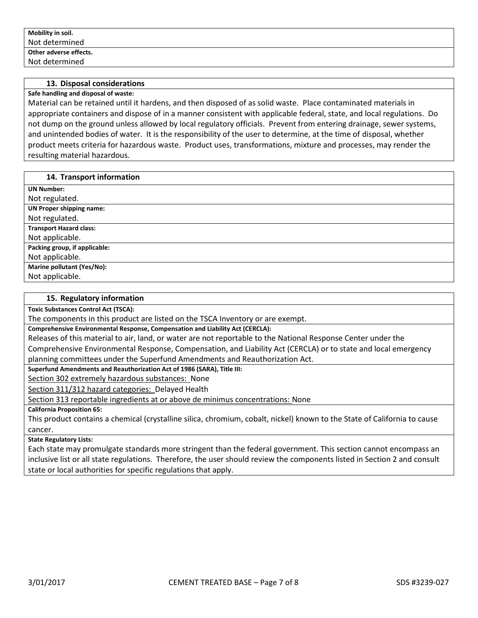#### **13. Disposal considerations**

#### **Safe handling and disposal of waste:**

Material can be retained until it hardens, and then disposed of as solid waste. Place contaminated materials in appropriate containers and dispose of in a manner consistent with applicable federal, state, and local regulations. Do not dump on the ground unless allowed by local regulatory officials. Prevent from entering drainage, sewer systems, and unintended bodies of water. It is the responsibility of the user to determine, at the time of disposal, whether product meets criteria for hazardous waste. Product uses, transformations, mixture and processes, may render the resulting material hazardous.

#### **14. Transport information**

| <b>UN Number:</b>               |
|---------------------------------|
| Not regulated.                  |
| <b>UN Proper shipping name:</b> |
| Not regulated.                  |
| <b>Transport Hazard class:</b>  |
| Not applicable.                 |
| Packing group, if applicable:   |
| Not applicable.                 |
| Marine pollutant (Yes/No):      |
| Not applicable.                 |

#### **15. Regulatory information**

**Toxic Substances Control Act (TSCA):**

The components in this product are listed on the TSCA Inventory or are exempt.

**Comprehensive Environmental Response, Compensation and Liability Act (CERCLA):**

Releases of this material to air, land, or water are not reportable to the National Response Center under the Comprehensive Environmental Response, Compensation, and Liability Act (CERCLA) or to state and local emergency planning committees under the Superfund Amendments and Reauthorization Act.

**Superfund Amendments and Reauthorization Act of 1986 (SARA), Title III:**

Section 302 extremely hazardous substances: None

Section 311/312 hazard categories: Delayed Health

Section 313 reportable ingredients at or above de minimus concentrations: None

**California Proposition 65:**

This product contains a chemical (crystalline silica, chromium, cobalt, nickel) known to the State of California to cause cancer.

#### **State Regulatory Lists:**

Each state may promulgate standards more stringent than the federal government. This section cannot encompass an inclusive list or all state regulations. Therefore, the user should review the components listed in Section 2 and consult state or local authorities for specific regulations that apply.